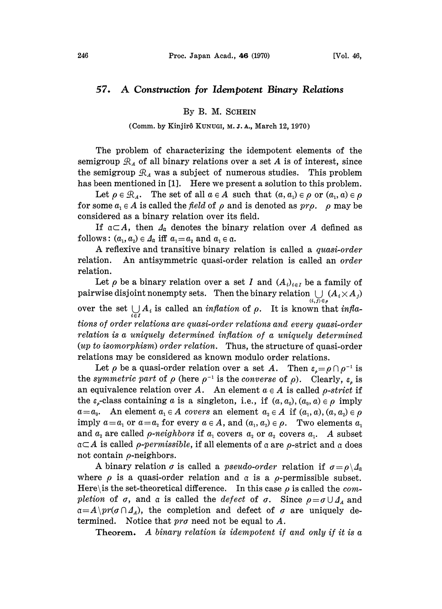## 57. A Construction for Idempotent Binary Relations

## By B. M. SCHEIN

## (Comm. by Kinjirô KUNUGI, M. J. A., March 12, 1970)

The problem of characterizing the idempotent elements of the semigroup  $\mathcal{R}_A$  of all binary relations over a set A is of interest, since the semigroup  $\mathcal{R}_A$  was a subject of numerous studies. This problem has been mentioned in [1]. Here we present a solution to this problem.

Let  $\rho \in \mathcal{R}_A$ . The set of all  $a \in A$  such that  $(a, a_1) \in \rho$  or  $(a_1, a) \in \rho$ for some  $a_1 \in A$  is called the field of  $\rho$  and is denoted as  $pr\rho$ .  $\rho$  may be considered as a binary relation over its field.

If  $\mathfrak{a}\subset A$ , then  $\mathfrak{a}_\mathfrak{a}$  denotes the binary relation over A defined as follows:  $(a_1, a_2) \in A_\alpha$  iff  $a_1 = a_2$  and  $a_1 \in \alpha$ .

A reflexive and transitive binary relation is called a *quasi-order* relation. An antisymmetric quasi-order relation is called an order relation.

Let  $\rho$  be a binary relation over a set I and  $(A_i)_{i \in I}$  be a family of pairwise disjoint nonempty sets. Then the binary relation  $\bigcup\limits_{(i,\,j)\,\in\,\rho} (A_i \!\times\! A_j)$ over the set  $\bigcup_{i \in I} A_i$  is called an *inflation* of  $\rho$ . It is known that *infla*tions of order relations are quasi-order relations and every quasi-order relation is a uniquely determined inflation of a uniquely determined  $(up to isomorphism) order relation.$  Thus, the structure of quasi-order relations may be considered as known modulo order relations.

Let  $\rho$  be a quasi-order relation over a set A. Then  $\varepsilon_e = \rho \cap \rho^{-1}$  is the symmetric part of  $\rho$  (here  $\rho^{-1}$  is the converse of  $\rho$ ). Clearly,  $\varepsilon$  is an equivalence relation over A. An element  $a \in A$  is called p-strict if the  $\varepsilon_{\rho}$ -class containing a is a singleton, i.e., if  $(a, a_0), (a_0, a) \in \rho$  imply  $a=a_0$ . An element  $a_1 \in A$  covers an element  $a_2 \in A$  if  $(a_1, a), (a, a_2) \in \rho$ imply  $a=a_1$  or  $a=a_2$  for every  $a \in A$ , and  $(a_1, a_2) \in \rho$ . Two elements  $a_1$ and  $a_2$  are called *p-neighbors* if  $a_1$  covers  $a_2$  or  $a_2$  covers  $a_1$ . A subset  $\mathfrak{a}\subset A$  is called *ρ-permissible*, if all elements of  $\mathfrak{a}$  are *ρ*-strict and  $\mathfrak{a}$  does not contain  $\rho$ -neighbors.

A binary relation  $\sigma$  is called a *pseudo-order* relation if  $\sigma = \rho \backslash \Delta_{\alpha}$ where  $\rho$  is a quasi-order relation and  $\alpha$  is a  $\rho$ -permissible subset. Here\ is the set-theoretical difference. In this case  $\rho$  is called the *com*pletion of  $\sigma$ , and  $\alpha$  is called the *defect* of  $\sigma$ . Since  $\rho = \sigma \cup A_A$  and  $a=A\pr(\sigma\cap A_A)$ , the completion and defect of  $\sigma$  are uniquely determined. Notice that  $pr\sigma$  need not be equal to A.

Theorem. A binary relation is idempotent if and only if it is a